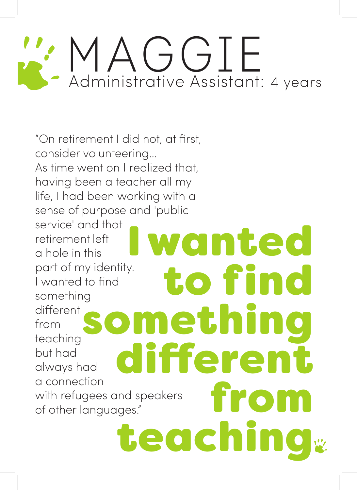## MAGGIE Administrative Assistant: 4 years

"On retirement I did not, at first, consider volunteering… As time went on I realized that, having been a teacher all my life, I had been working with a sense of purpose and 'public service' and that retirement left a hole in this part of my identity. I wanted to find something different from teaching but had always had a connection with refugees and speakers of other languages." I wanted to find something dierent from teaching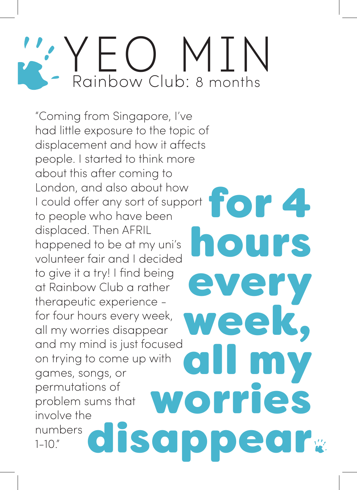#### YEO MTN Rainbow Club: 8 months

"Coming from Singapore, I've had little exposure to the topic of displacement and how it affects people. I started to think more about this after coming to London, and also about how I could offer any sort of support to people who have been displaced. Then AFRIL happened to be at my uni's volunteer fair and I decided to give it a try! I find being at Rainbow Club a rather therapeutic experience for four hours every week, all my worries disappear and my mind is just focused on trying to come up with games, songs, or permutations of problem sums that involve the numbers 1-10." for 4 hours every week, all my worries isappear<sub>"</sub>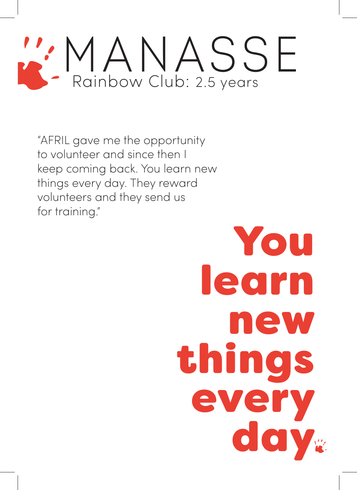### MANASSE Rainbow Club: 2.5 years

"AFRIL gave me the opportunity to volunteer and since then I keep coming back. You learn new things every day. They reward volunteers and they send us for training."

# You learn new things every<br>day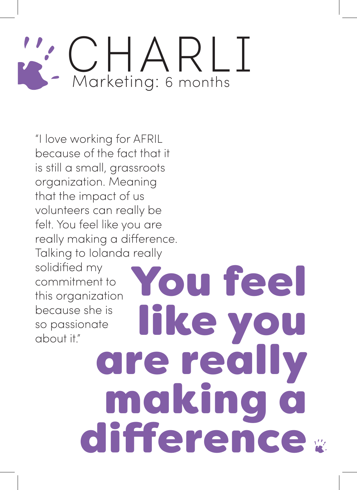#### CHARLI Marketing: 6 months

"I love working for AFRIL because of the fact that it is still a small, grassroots organization. Meaning that the impact of us volunteers can really be felt. You feel like you are really making a difference. Talking to Iolanda really solidified my commitment to this organization because she is so passionate about it."

You feel<br>Ifke you are really making a difference »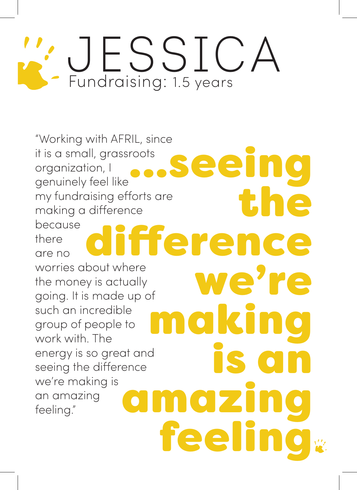## Jessica Fundraising: 1.5 years

"Working with AFRIL, since it is a small, grassroots organization, I genuinely feel like my fundraising efforts are making a difference because there are no worries about where the money is actually going. It is made up of such an incredible group of people to work with. The energy is so great and seeing the difference we're making is an amazing feeling." eeing<br>the fference we're **makin** amazing feeling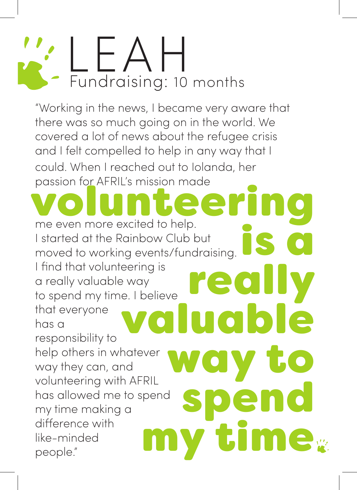

"Working in the news, I became very aware that there was so much going on in the world. We covered a lot of news about the refugee crisis and I felt compelled to help in any way that I could. When I reached out to Iolanda, her passion for AFRIL's mission made

me even more excited to help. I started at the Rainbow Club but moved to working events/fundraising. I find that volunteering is a really valuable way to spend my time. I believe that everyone has a responsibility to help others in whatever way they can, and volunteering with AFRIL has allowed me to spend my time making a difference with like-minded people." volunteering<br>
me even more excited to help.<br>
I started at the Rainbow Club but<br>
moved to working events/fundraising. eering is<br>e. I believe **really**<br>Valuable way to **spend<br>my time**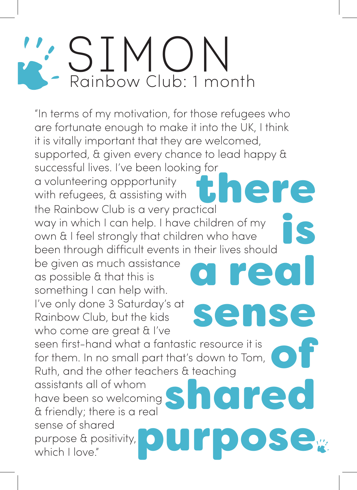## SIMON Rainbow Club: 1 month

"In terms of my motivation, for those refugees who are fortunate enough to make it into the UK, I think it is vitally important that they are welcomed, supported, & given every chance to lead happy & successful lives. I've been looking for a volunteering oppportunity with refugees, & assisting with the Rainbow Club is a very practical way in which I can help. I have children of my own & I feel strongly that children who have been through difficult events in their lives should there is a real

be given as much assistance as possible & that this is something I can help with. I've only done 3 Saturday's at Rainbow Club, but the kids who come are great & I've

seen first-hand what a fantastic resource it is for them. In no small part that's down to Tom, Ruth, and the other teachers & teaching

sense

of

shared

ose

assistants all of whom have been so welcoming & friendly; there is a real sense of shared purpose & positivity, which I love."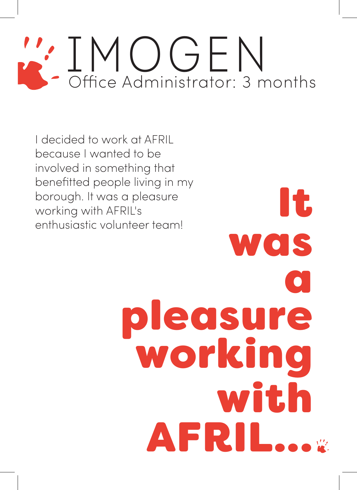## IMOGEN Office Administrator: 3 months

I decided to work at AFRIL because I wanted to be involved in something that benefitted people living in my borough. It was a pleasure working with AFRIL's enthusiastic volunteer team!

It was a pleasure working with AFRIL...